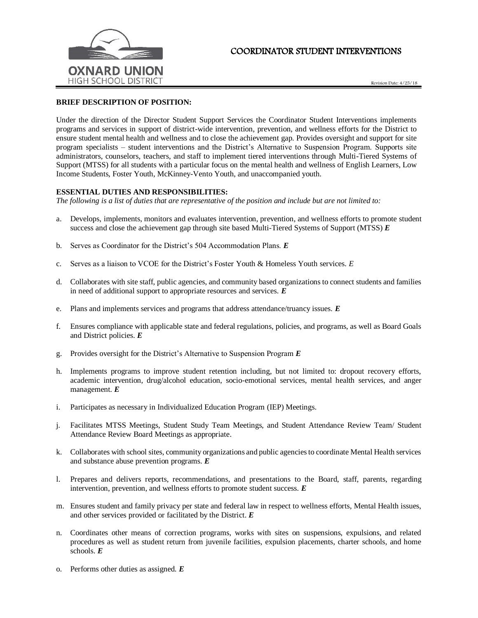

## COORDINATOR STUDENT INTERVENTIONS

Revision Date: 4/25/18

## **BRIEF DESCRIPTION OF POSITION:**

Under the direction of the Director Student Support Services the Coordinator Student Interventions implements programs and services in support of district-wide intervention, prevention, and wellness efforts for the District to ensure student mental health and wellness and to close the achievement gap. Provides oversight and support for site program specialists – student interventions and the District's Alternative to Suspension Program. Supports site administrators, counselors, teachers, and staff to implement tiered interventions through Multi-Tiered Systems of Support (MTSS) for all students with a particular focus on the mental health and wellness of English Learners, Low Income Students, Foster Youth, McKinney-Vento Youth, and unaccompanied youth.

## **ESSENTIAL DUTIES AND RESPONSIBILITIES:**

*The following is a list of duties that are representative of the position and include but are not limited to:*

- a. Develops, implements, monitors and evaluates intervention, prevention, and wellness efforts to promote student success and close the achievement gap through site based Multi-Tiered Systems of Support (MTSS) *E*
- b. Serves as Coordinator for the District's 504 Accommodation Plans. *E*
- c. Serves as a liaison to VCOE for the District's Foster Youth & Homeless Youth services. *E*
- d. Collaborates with site staff, public agencies, and community based organizations to connect students and families in need of additional support to appropriate resources and services. *E*
- e. Plans and implements services and programs that address attendance/truancy issues. *E*
- f. Ensures compliance with applicable state and federal regulations, policies, and programs, as well as Board Goals and District policies. *E*
- g. Provides oversight for the District's Alternative to Suspension Program *E*
- h. Implements programs to improve student retention including, but not limited to: dropout recovery efforts, academic intervention, drug/alcohol education, socio-emotional services, mental health services, and anger management. *E*
- i. Participates as necessary in Individualized Education Program (IEP) Meetings.
- j. Facilitates MTSS Meetings, Student Study Team Meetings, and Student Attendance Review Team/ Student Attendance Review Board Meetings as appropriate.
- k. Collaborates with school sites, community organizations and public agencies to coordinate Mental Health services and substance abuse prevention programs. *E*
- l. Prepares and delivers reports, recommendations, and presentations to the Board, staff, parents, regarding intervention, prevention, and wellness efforts to promote student success. *E*
- m. Ensures student and family privacy per state and federal law in respect to wellness efforts, Mental Health issues, and other services provided or facilitated by the District. *E*
- n. Coordinates other means of correction programs, works with sites on suspensions, expulsions, and related procedures as well as student return from juvenile facilities, expulsion placements, charter schools, and home schools. *E*
- o. Performs other duties as assigned. *E*